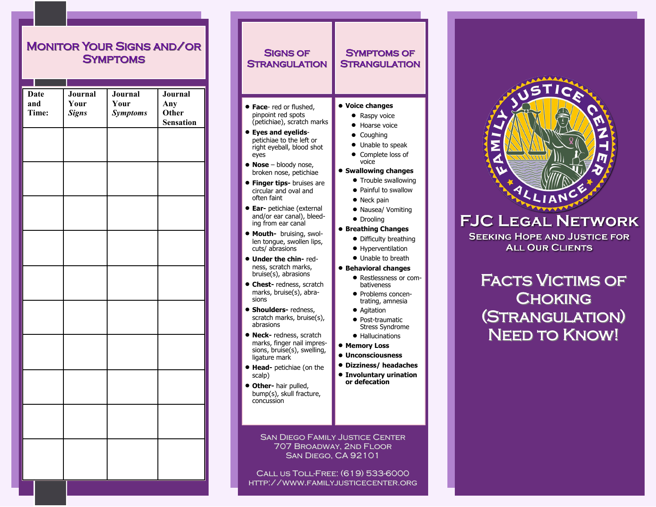# Monitor Your Signs and/or **SYMPTOMS**

| <b>Date</b><br>and<br>Time: | Journal<br>Your<br><b>Signs</b> | Journal<br>Your<br><b>Symptoms</b> | Journal<br>Any<br>Other<br><b>Sensation</b> |
|-----------------------------|---------------------------------|------------------------------------|---------------------------------------------|
|                             |                                 |                                    |                                             |
|                             |                                 |                                    |                                             |
|                             |                                 |                                    |                                             |
|                             |                                 |                                    |                                             |
|                             |                                 |                                    |                                             |
|                             |                                 |                                    |                                             |
|                             |                                 |                                    |                                             |
|                             |                                 |                                    |                                             |
|                             |                                 |                                    |                                             |
|                             |                                 |                                    |                                             |
|                             |                                 |                                    |                                             |

| SIGNS OF<br><b>STRANGULATION</b>                                                                                                                                                                                                                                                                                                                                                                                                                                                                                                                                                                                                                                                                                                                                                                                                                                                                                                                     | SYMPTOMS OF<br><b>STRANGULATION</b>                                                                                                                                                                                                                                                                                                                                                                                                                                                                                                                                                                                                                                                                |  |  |
|------------------------------------------------------------------------------------------------------------------------------------------------------------------------------------------------------------------------------------------------------------------------------------------------------------------------------------------------------------------------------------------------------------------------------------------------------------------------------------------------------------------------------------------------------------------------------------------------------------------------------------------------------------------------------------------------------------------------------------------------------------------------------------------------------------------------------------------------------------------------------------------------------------------------------------------------------|----------------------------------------------------------------------------------------------------------------------------------------------------------------------------------------------------------------------------------------------------------------------------------------------------------------------------------------------------------------------------------------------------------------------------------------------------------------------------------------------------------------------------------------------------------------------------------------------------------------------------------------------------------------------------------------------------|--|--|
| <b>• Face-</b> red or flushed,<br>pinpoint red spots<br>(petichiae), scratch marks<br><b>Eyes and eyelids-</b><br>petichiae to the left or<br>right eyeball, blood shot<br>eyes<br>Nose - bloody nose,<br>broken nose, petichiae<br><b>• Finger tips-</b> bruises are<br>circular and oval and<br>often faint<br><b>· Ear-</b> petichiae (external<br>and/or ear canal), bleed-<br>ing from ear canal<br><b>• Mouth-</b> bruising, swol-<br>len tongue, swollen lips,<br>cuts/ abrasions<br><b>• Under the chin-</b> red-<br>ness, scratch marks,<br>bruise(s), abrasions<br><b>Chest-</b> redness, scratch<br>marks, bruise(s), abra-<br>sions<br><b>Shoulders-</b> redness,<br>scratch marks, bruise(s),<br>abrasions<br>Neck-redness, scratch<br>marks, finger nail impres-<br>sions, bruise(s), swelling,<br>ligature mark<br><b>• Head-</b> petichiae (on the<br>scalp)<br><b>Other-</b> hair pulled,<br>bump(s), skull fracture,<br>concussion | <b>Voice changes</b><br>Raspy voice<br>Hoarse voice<br>• Coughing<br>Unable to speak<br>$\bullet$<br>• Complete loss of<br>voice<br><b>Swallowing changes</b><br>• Trouble swallowing<br>• Painful to swallow<br>• Neck pain<br>· Nausea/ Vomiting<br>• Drooling<br><b>Breathing Changes</b><br>• Difficulty breathing<br>• Hyperventilation<br>• Unable to breath<br><b>Behavioral changes</b><br>· Restlessness or com-<br>bativeness<br>· Problems concen-<br>trating, amnesia<br>• Agitation<br>• Post-traumatic<br><b>Stress Syndrome</b><br>• Hallucinations<br><b>• Memory Loss</b><br>$\bullet$ Unconsciousness<br>· Dizziness/ headaches<br><b>Involuntary urination</b><br>or defecation |  |  |
| <b>SAN DIEGO FAMILY JUSTICE CENTER</b><br>707 BROADWAY, 2ND FLOOR<br><b>SAN DIEGO, CA 92101</b>                                                                                                                                                                                                                                                                                                                                                                                                                                                                                                                                                                                                                                                                                                                                                                                                                                                      |                                                                                                                                                                                                                                                                                                                                                                                                                                                                                                                                                                                                                                                                                                    |  |  |

Call us Toll-Free: (619) 533-6000 http://www.familyjusticecenter.org

# **FJC LEGAL NETWORK**

**SEEKING HOPE AND JUSTICE FOR ALL OUR CLIENTS** 

FACTS VICTIMS OF **CHOKING** (Strangulation) NEED TO KNOW!